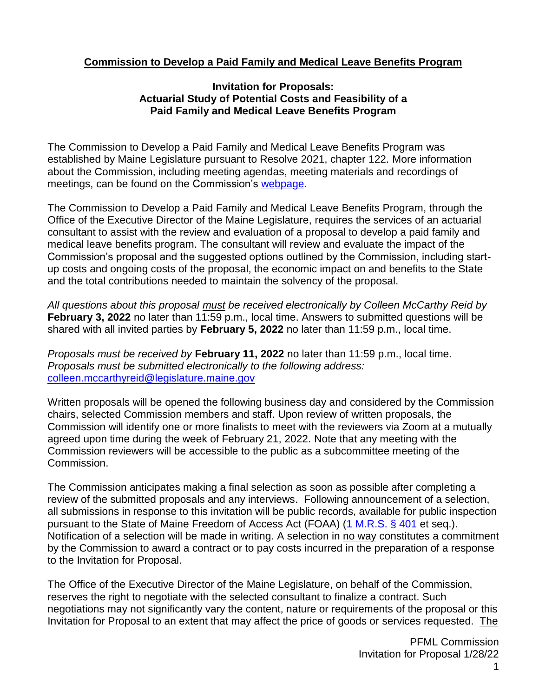# **Commission to Develop a Paid Family and Medical Leave Benefits Program**

#### **Invitation for Proposals: Actuarial Study of Potential Costs and Feasibility of a Paid Family and Medical Leave Benefits Program**

The Commission to Develop a Paid Family and Medical Leave Benefits Program was established by Maine Legislature pursuant to Resolve 2021, chapter 122. More information about the Commission, including meeting agendas, meeting materials and recordings of meetings, can be found on the Commission's [webpage.](https://legislature.maine.gov/commission-to-develop-a-paid-family-and-medical-leave-benefits-program)

The Commission to Develop a Paid Family and Medical Leave Benefits Program, through the Office of the Executive Director of the Maine Legislature, requires the services of an actuarial consultant to assist with the review and evaluation of a proposal to develop a paid family and medical leave benefits program. The consultant will review and evaluate the impact of the Commission's proposal and the suggested options outlined by the Commission, including startup costs and ongoing costs of the proposal, the economic impact on and benefits to the State and the total contributions needed to maintain the solvency of the proposal.

*All questions about this proposal must be received electronically by Colleen McCarthy Reid by*  **February 3, 2022** no later than 11:59 p.m., local time. Answers to submitted questions will be shared with all invited parties by **February 5, 2022** no later than 11:59 p.m., local time.

*Proposals must be received by* **February 11, 2022** no later than 11:59 p.m., local time. *Proposals must be submitted electronically to the following address:*  [colleen.mccarthyreid@legislature.maine.gov](mailto:colleen.mccarthyreid@legislature.maine.gov)

Written proposals will be opened the following business day and considered by the Commission chairs, selected Commission members and staff. Upon review of written proposals, the Commission will identify one or more finalists to meet with the reviewers via Zoom at a mutually agreed upon time during the week of February 21, 2022. Note that any meeting with the Commission reviewers will be accessible to the public as a subcommittee meeting of the Commission.

The Commission anticipates making a final selection as soon as possible after completing a review of the submitted proposals and any interviews. Following announcement of a selection, all submissions in response to this invitation will be public records, available for public inspection pursuant to the State of Maine Freedom of Access Act (FOAA) [\(1 M.R.S. § 401](http://www.mainelegislature.org/legis/statutes/1/title1sec401.html) et seq.). Notification of a selection will be made in writing. A selection in no way constitutes a commitment by the Commission to award a contract or to pay costs incurred in the preparation of a response to the Invitation for Proposal.

The Office of the Executive Director of the Maine Legislature, on behalf of the Commission, reserves the right to negotiate with the selected consultant to finalize a contract. Such negotiations may not significantly vary the content, nature or requirements of the proposal or this Invitation for Proposal to an extent that may affect the price of goods or services requested. The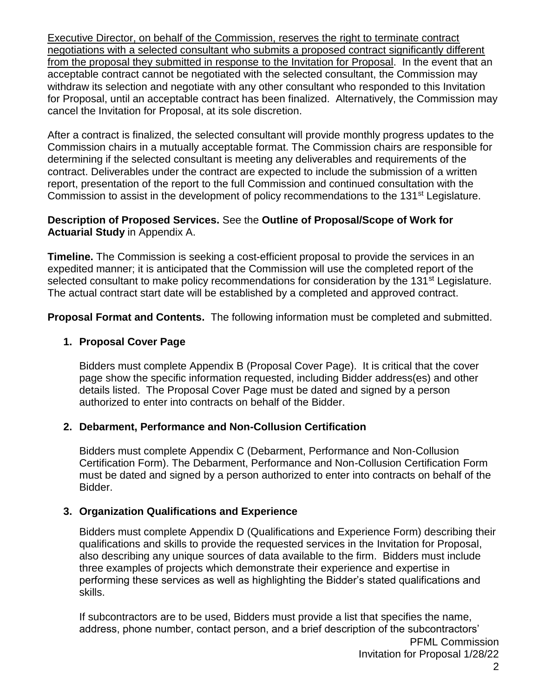Executive Director, on behalf of the Commission, reserves the right to terminate contract negotiations with a selected consultant who submits a proposed contract significantly different from the proposal they submitted in response to the Invitation for Proposal. In the event that an acceptable contract cannot be negotiated with the selected consultant, the Commission may withdraw its selection and negotiate with any other consultant who responded to this Invitation for Proposal, until an acceptable contract has been finalized. Alternatively, the Commission may cancel the Invitation for Proposal, at its sole discretion.

After a contract is finalized, the selected consultant will provide monthly progress updates to the Commission chairs in a mutually acceptable format. The Commission chairs are responsible for determining if the selected consultant is meeting any deliverables and requirements of the contract. Deliverables under the contract are expected to include the submission of a written report, presentation of the report to the full Commission and continued consultation with the Commission to assist in the development of policy recommendations to the 131<sup>st</sup> Legislature.

## **Description of Proposed Services.** See the **Outline of Proposal/Scope of Work for Actuarial Study** in Appendix A.

**Timeline.** The Commission is seeking a cost-efficient proposal to provide the services in an expedited manner; it is anticipated that the Commission will use the completed report of the selected consultant to make policy recommendations for consideration by the 131<sup>st</sup> Legislature. The actual contract start date will be established by a completed and approved contract.

**Proposal Format and Contents.** The following information must be completed and submitted.

# **1. Proposal Cover Page**

Bidders must complete Appendix B (Proposal Cover Page). It is critical that the cover page show the specific information requested, including Bidder address(es) and other details listed. The Proposal Cover Page must be dated and signed by a person authorized to enter into contracts on behalf of the Bidder.

#### **2. Debarment, Performance and Non-Collusion Certification**

Bidders must complete Appendix C (Debarment, Performance and Non-Collusion Certification Form). The Debarment, Performance and Non-Collusion Certification Form must be dated and signed by a person authorized to enter into contracts on behalf of the Bidder.

# **3. Organization Qualifications and Experience**

Bidders must complete Appendix D (Qualifications and Experience Form) describing their qualifications and skills to provide the requested services in the Invitation for Proposal, also describing any unique sources of data available to the firm. Bidders must include three examples of projects which demonstrate their experience and expertise in performing these services as well as highlighting the Bidder's stated qualifications and skills.

If subcontractors are to be used, Bidders must provide a list that specifies the name, address, phone number, contact person, and a brief description of the subcontractors'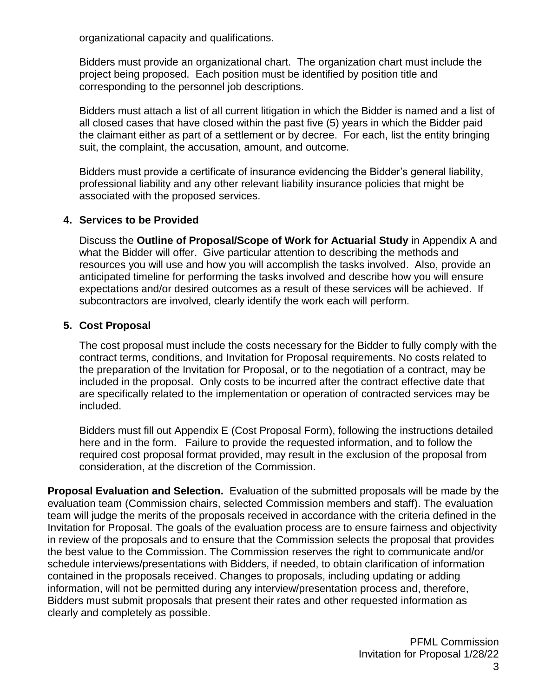organizational capacity and qualifications.

Bidders must provide an organizational chart. The organization chart must include the project being proposed. Each position must be identified by position title and corresponding to the personnel job descriptions.

Bidders must attach a list of all current litigation in which the Bidder is named and a list of all closed cases that have closed within the past five (5) years in which the Bidder paid the claimant either as part of a settlement or by decree. For each, list the entity bringing suit, the complaint, the accusation, amount, and outcome.

Bidders must provide a certificate of insurance evidencing the Bidder's general liability, professional liability and any other relevant liability insurance policies that might be associated with the proposed services.

### **4. Services to be Provided**

Discuss the **Outline of Proposal/Scope of Work for Actuarial Study** in Appendix A and what the Bidder will offer. Give particular attention to describing the methods and resources you will use and how you will accomplish the tasks involved. Also, provide an anticipated timeline for performing the tasks involved and describe how you will ensure expectations and/or desired outcomes as a result of these services will be achieved. If subcontractors are involved, clearly identify the work each will perform.

### **5. Cost Proposal**

The cost proposal must include the costs necessary for the Bidder to fully comply with the contract terms, conditions, and Invitation for Proposal requirements. No costs related to the preparation of the Invitation for Proposal, or to the negotiation of a contract, may be included in the proposal. Only costs to be incurred after the contract effective date that are specifically related to the implementation or operation of contracted services may be included.

Bidders must fill out Appendix E (Cost Proposal Form), following the instructions detailed here and in the form. Failure to provide the requested information, and to follow the required cost proposal format provided, may result in the exclusion of the proposal from consideration, at the discretion of the Commission.

**Proposal Evaluation and Selection.** Evaluation of the submitted proposals will be made by the evaluation team (Commission chairs, selected Commission members and staff). The evaluation team will judge the merits of the proposals received in accordance with the criteria defined in the Invitation for Proposal. The goals of the evaluation process are to ensure fairness and objectivity in review of the proposals and to ensure that the Commission selects the proposal that provides the best value to the Commission. The Commission reserves the right to communicate and/or schedule interviews/presentations with Bidders, if needed, to obtain clarification of information contained in the proposals received. Changes to proposals, including updating or adding information, will not be permitted during any interview/presentation process and, therefore, Bidders must submit proposals that present their rates and other requested information as clearly and completely as possible.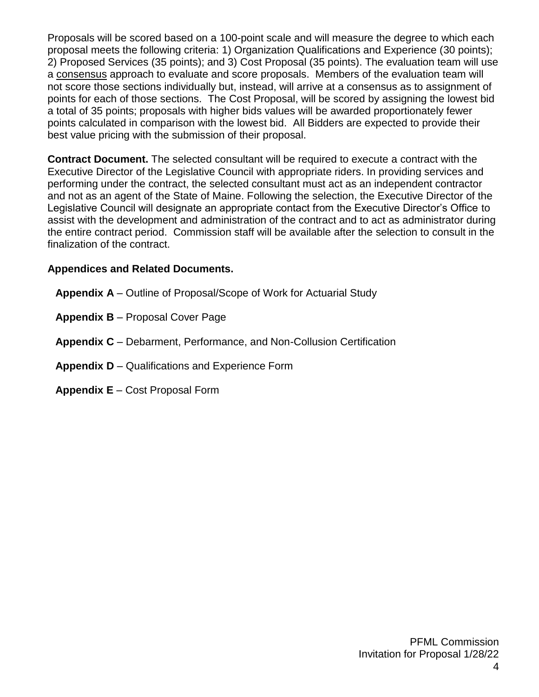Proposals will be scored based on a 100-point scale and will measure the degree to which each proposal meets the following criteria: 1) Organization Qualifications and Experience (30 points); 2) Proposed Services (35 points); and 3) Cost Proposal (35 points). The evaluation team will use a consensus approach to evaluate and score proposals. Members of the evaluation team will not score those sections individually but, instead, will arrive at a consensus as to assignment of points for each of those sections. The Cost Proposal, will be scored by assigning the lowest bid a total of 35 points; proposals with higher bids values will be awarded proportionately fewer points calculated in comparison with the lowest bid. All Bidders are expected to provide their best value pricing with the submission of their proposal.

**Contract Document.** The selected consultant will be required to execute a contract with the Executive Director of the Legislative Council with appropriate riders. In providing services and performing under the contract, the selected consultant must act as an independent contractor and not as an agent of the State of Maine. Following the selection, the Executive Director of the Legislative Council will designate an appropriate contact from the Executive Director's Office to assist with the development and administration of the contract and to act as administrator during the entire contract period. Commission staff will be available after the selection to consult in the finalization of the contract.

# **Appendices and Related Documents.**

- **Appendix A** Outline of Proposal/Scope of Work for Actuarial Study
- **Appendix B** Proposal Cover Page
- **Appendix C** Debarment, Performance, and Non-Collusion Certification
- **Appendix D** Qualifications and Experience Form
- **Appendix E** Cost Proposal Form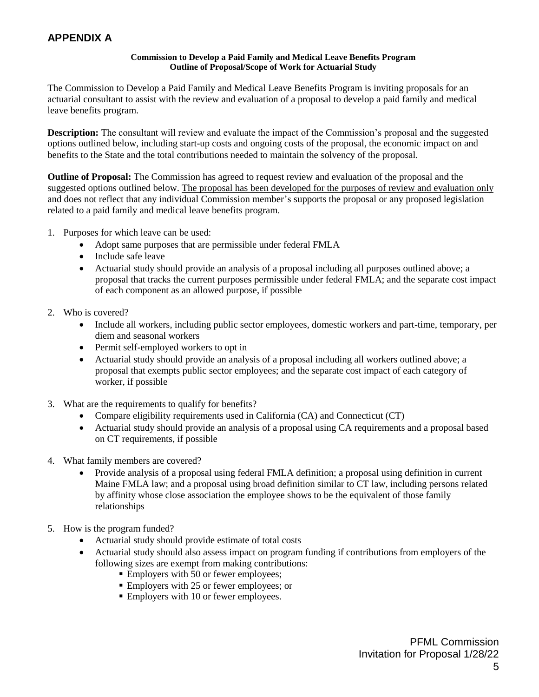# **APPENDIX A**

#### **Commission to Develop a Paid Family and Medical Leave Benefits Program Outline of Proposal/Scope of Work for Actuarial Study**

The Commission to Develop a Paid Family and Medical Leave Benefits Program is inviting proposals for an actuarial consultant to assist with the review and evaluation of a proposal to develop a paid family and medical leave benefits program.

**Description:** The consultant will review and evaluate the impact of the Commission's proposal and the suggested options outlined below, including start-up costs and ongoing costs of the proposal, the economic impact on and benefits to the State and the total contributions needed to maintain the solvency of the proposal.

**Outline of Proposal:** The Commission has agreed to request review and evaluation of the proposal and the suggested options outlined below. The proposal has been developed for the purposes of review and evaluation only and does not reflect that any individual Commission member's supports the proposal or any proposed legislation related to a paid family and medical leave benefits program.

- 1. Purposes for which leave can be used:
	- Adopt same purposes that are permissible under federal FMLA
	- Include safe leave
	- Actuarial study should provide an analysis of a proposal including all purposes outlined above; a proposal that tracks the current purposes permissible under federal FMLA; and the separate cost impact of each component as an allowed purpose, if possible
- 2. Who is covered?
	- Include all workers, including public sector employees, domestic workers and part-time, temporary, per diem and seasonal workers
	- Permit self-employed workers to opt in
	- Actuarial study should provide an analysis of a proposal including all workers outlined above; a proposal that exempts public sector employees; and the separate cost impact of each category of worker, if possible
- 3. What are the requirements to qualify for benefits?
	- Compare eligibility requirements used in California (CA) and Connecticut (CT)
	- Actuarial study should provide an analysis of a proposal using CA requirements and a proposal based on CT requirements, if possible
- 4. What family members are covered?
	- Provide analysis of a proposal using federal FMLA definition; a proposal using definition in current Maine FMLA law; and a proposal using broad definition similar to CT law, including persons related by affinity whose close association the employee shows to be the equivalent of those family relationships
- 5. How is the program funded?
	- Actuarial study should provide estimate of total costs
	- Actuarial study should also assess impact on program funding if contributions from employers of the following sizes are exempt from making contributions:
		- **Employers with 50 or fewer employees;**
		- Employers with 25 or fewer employees; or
		- Employers with 10 or fewer employees.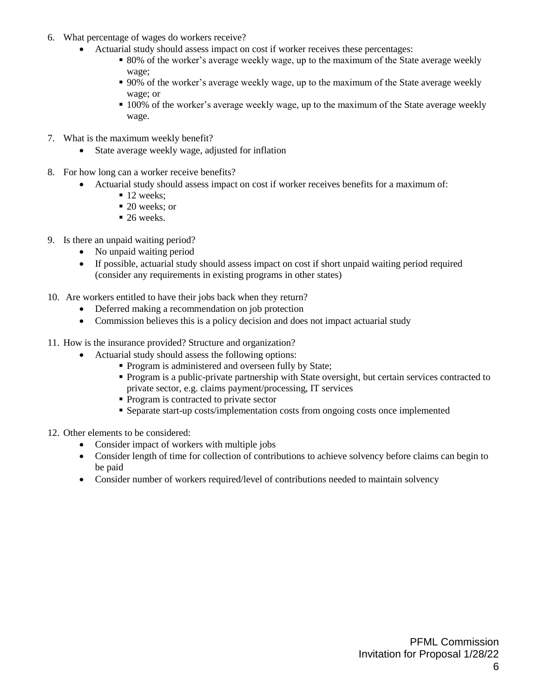- 6. What percentage of wages do workers receive?
	- Actuarial study should assess impact on cost if worker receives these percentages:
		- 80% of the worker's average weekly wage, up to the maximum of the State average weekly wage;
		- 90% of the worker's average weekly wage, up to the maximum of the State average weekly wage; or
		- 100% of the worker's average weekly wage, up to the maximum of the State average weekly wage.
- 7. What is the maximum weekly benefit?
	- State average weekly wage, adjusted for inflation
- 8. For how long can a worker receive benefits?
	- Actuarial study should assess impact on cost if worker receives benefits for a maximum of:
		- $\blacksquare$  12 weeks:
		- $\blacksquare$  20 weeks; or
		- $\blacksquare$  26 weeks.
- 9. Is there an unpaid waiting period?
	- No unpaid waiting period
	- If possible, actuarial study should assess impact on cost if short unpaid waiting period required (consider any requirements in existing programs in other states)
- 10. Are workers entitled to have their jobs back when they return?
	- Deferred making a recommendation on job protection
	- Commission believes this is a policy decision and does not impact actuarial study
- 11. How is the insurance provided? Structure and organization?
	- Actuarial study should assess the following options:
		- **Program is administered and overseen fully by State;**
		- **Program is a public-private partnership with State oversight, but certain services contracted to** private sector, e.g. claims payment/processing, IT services
		- Program is contracted to private sector
		- Separate start-up costs/implementation costs from ongoing costs once implemented
- 12. Other elements to be considered:
	- Consider impact of workers with multiple jobs
	- Consider length of time for collection of contributions to achieve solvency before claims can begin to be paid
	- Consider number of workers required/level of contributions needed to maintain solvency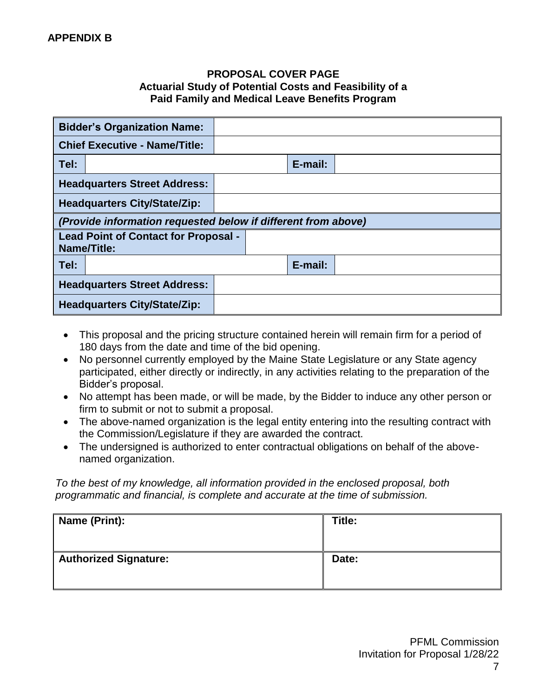### **PROPOSAL COVER PAGE Actuarial Study of Potential Costs and Feasibility of a Paid Family and Medical Leave Benefits Program**

| <b>Bidder's Organization Name:</b>                                |  |         |  |
|-------------------------------------------------------------------|--|---------|--|
| <b>Chief Executive - Name/Title:</b>                              |  |         |  |
| Tel:                                                              |  | E-mail: |  |
| <b>Headquarters Street Address:</b>                               |  |         |  |
| <b>Headquarters City/State/Zip:</b>                               |  |         |  |
| (Provide information requested below if different from above)     |  |         |  |
| <b>Lead Point of Contact for Proposal -</b><br><b>Name/Title:</b> |  |         |  |
| Tel:                                                              |  | E-mail: |  |
| <b>Headquarters Street Address:</b>                               |  |         |  |
| <b>Headquarters City/State/Zip:</b>                               |  |         |  |

- This proposal and the pricing structure contained herein will remain firm for a period of 180 days from the date and time of the bid opening.
- No personnel currently employed by the Maine State Legislature or any State agency participated, either directly or indirectly, in any activities relating to the preparation of the Bidder's proposal.
- No attempt has been made, or will be made, by the Bidder to induce any other person or firm to submit or not to submit a proposal.
- The above-named organization is the legal entity entering into the resulting contract with the Commission/Legislature if they are awarded the contract.
- The undersigned is authorized to enter contractual obligations on behalf of the abovenamed organization.

*To the best of my knowledge, all information provided in the enclosed proposal, both programmatic and financial, is complete and accurate at the time of submission.*

| Name (Print):                | Title: |
|------------------------------|--------|
| <b>Authorized Signature:</b> | Date:  |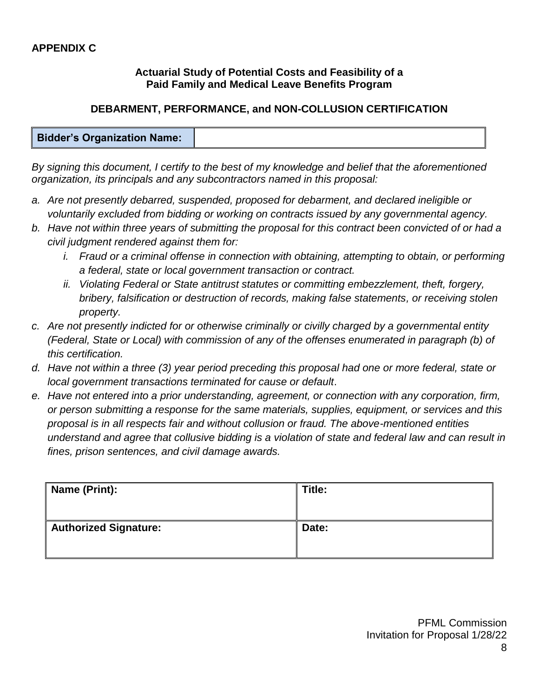### **Actuarial Study of Potential Costs and Feasibility of a Paid Family and Medical Leave Benefits Program**

# **DEBARMENT, PERFORMANCE, and NON-COLLUSION CERTIFICATION**

#### **Bidder's Organization Name:**

*By signing this document, I certify to the best of my knowledge and belief that the aforementioned organization, its principals and any subcontractors named in this proposal:*

- *a. Are not presently debarred, suspended, proposed for debarment, and declared ineligible or voluntarily excluded from bidding or working on contracts issued by any governmental agency.*
- *b. Have not within three years of submitting the proposal for this contract been convicted of or had a civil judgment rendered against them for:*
	- *i.* Fraud or a criminal offense in connection with obtaining, attempting to obtain, or performing *a federal, state or local government transaction or contract.*
	- *ii. Violating Federal or State antitrust statutes or committing embezzlement, theft, forgery, bribery, falsification or destruction of records, making false statements, or receiving stolen property.*
- *c. Are not presently indicted for or otherwise criminally or civilly charged by a governmental entity (Federal, State or Local) with commission of any of the offenses enumerated in paragraph (b) of this certification.*
- *d. Have not within a three (3) year period preceding this proposal had one or more federal, state or local government transactions terminated for cause or default*.
- *e. Have not entered into a prior understanding, agreement, or connection with any corporation, firm, or person submitting a response for the same materials, supplies, equipment, or services and this proposal is in all respects fair and without collusion or fraud. The above-mentioned entities understand and agree that collusive bidding is a violation of state and federal law and can result in fines, prison sentences, and civil damage awards.*

| Name (Print):                | Title: |
|------------------------------|--------|
| <b>Authorized Signature:</b> | Date:  |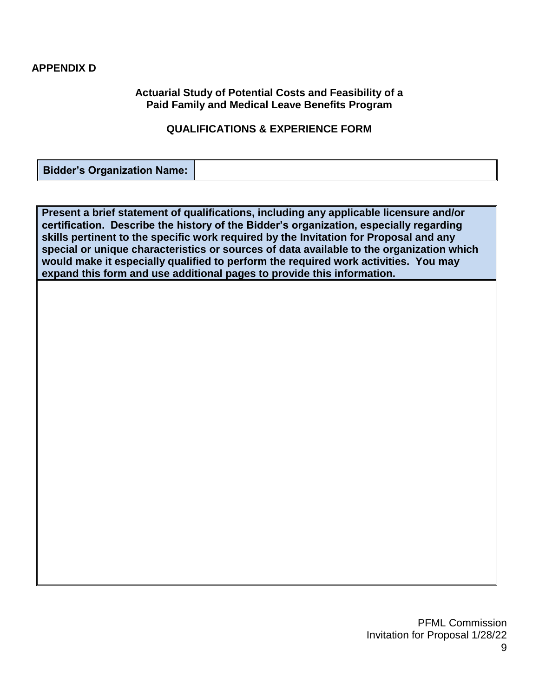#### **APPENDIX D**

#### **Actuarial Study of Potential Costs and Feasibility of a Paid Family and Medical Leave Benefits Program**

#### **QUALIFICATIONS & EXPERIENCE FORM**

**Bidder's Organization Name:**

**Present a brief statement of qualifications, including any applicable licensure and/or certification. Describe the history of the Bidder's organization, especially regarding skills pertinent to the specific work required by the Invitation for Proposal and any special or unique characteristics or sources of data available to the organization which would make it especially qualified to perform the required work activities. You may expand this form and use additional pages to provide this information.**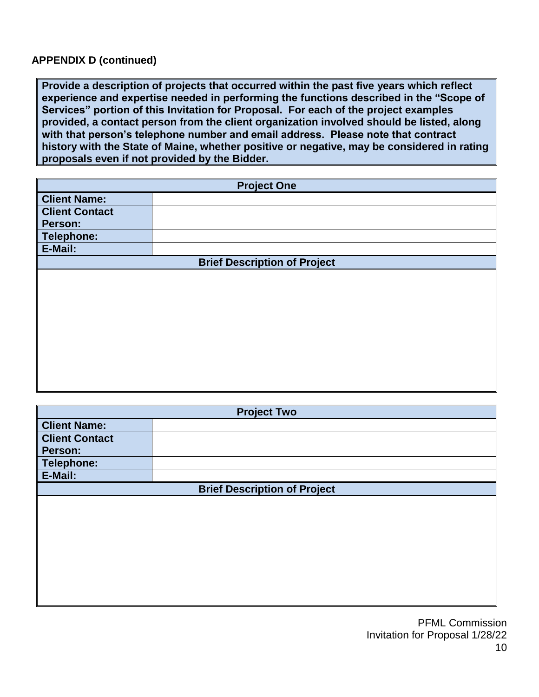#### **APPENDIX D (continued)**

**Provide a description of projects that occurred within the past five years which reflect experience and expertise needed in performing the functions described in the "Scope of Services" portion of this Invitation for Proposal. For each of the project examples provided, a contact person from the client organization involved should be listed, along with that person's telephone number and email address. Please note that contract history with the State of Maine, whether positive or negative, may be considered in rating proposals even if not provided by the Bidder.**

| <b>Project One</b>    |                                     |  |  |
|-----------------------|-------------------------------------|--|--|
| <b>Client Name:</b>   |                                     |  |  |
| <b>Client Contact</b> |                                     |  |  |
| Person:               |                                     |  |  |
| Telephone:            |                                     |  |  |
| E-Mail:               |                                     |  |  |
|                       | <b>Brief Description of Project</b> |  |  |
|                       |                                     |  |  |
|                       |                                     |  |  |
|                       |                                     |  |  |
|                       |                                     |  |  |
|                       |                                     |  |  |
|                       |                                     |  |  |
|                       |                                     |  |  |
|                       |                                     |  |  |
|                       |                                     |  |  |
|                       |                                     |  |  |
|                       |                                     |  |  |
|                       |                                     |  |  |

| <b>Project Two</b>    |                                     |  |  |  |
|-----------------------|-------------------------------------|--|--|--|
| <b>Client Name:</b>   |                                     |  |  |  |
| <b>Client Contact</b> |                                     |  |  |  |
| Person:               |                                     |  |  |  |
| <b>Telephone:</b>     |                                     |  |  |  |
| E-Mail:               |                                     |  |  |  |
|                       | <b>Brief Description of Project</b> |  |  |  |
|                       |                                     |  |  |  |
|                       |                                     |  |  |  |
|                       |                                     |  |  |  |
|                       |                                     |  |  |  |
|                       |                                     |  |  |  |
|                       |                                     |  |  |  |
|                       |                                     |  |  |  |
|                       |                                     |  |  |  |
|                       |                                     |  |  |  |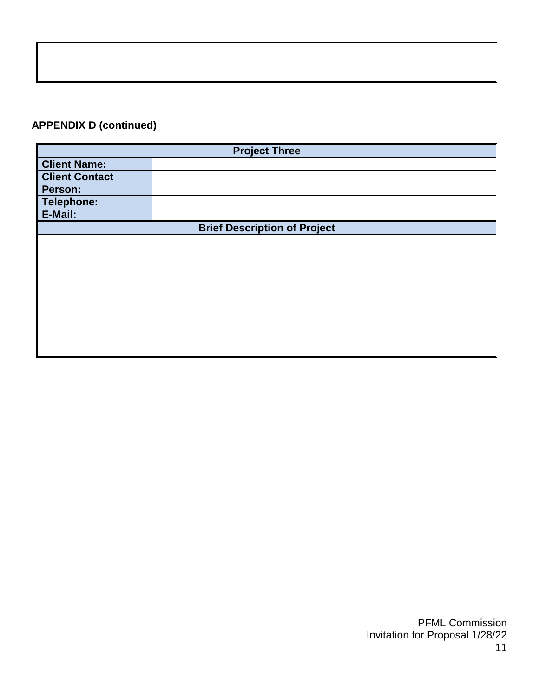# **APPENDIX D (continued)**

| <b>Project Three</b>  |                                     |  |
|-----------------------|-------------------------------------|--|
| <b>Client Name:</b>   |                                     |  |
| <b>Client Contact</b> |                                     |  |
| Person:               |                                     |  |
| <b>Telephone:</b>     |                                     |  |
| E-Mail:               |                                     |  |
|                       | <b>Brief Description of Project</b> |  |
|                       |                                     |  |
|                       |                                     |  |
|                       |                                     |  |
|                       |                                     |  |
|                       |                                     |  |
|                       |                                     |  |
|                       |                                     |  |
|                       |                                     |  |
|                       |                                     |  |
|                       |                                     |  |